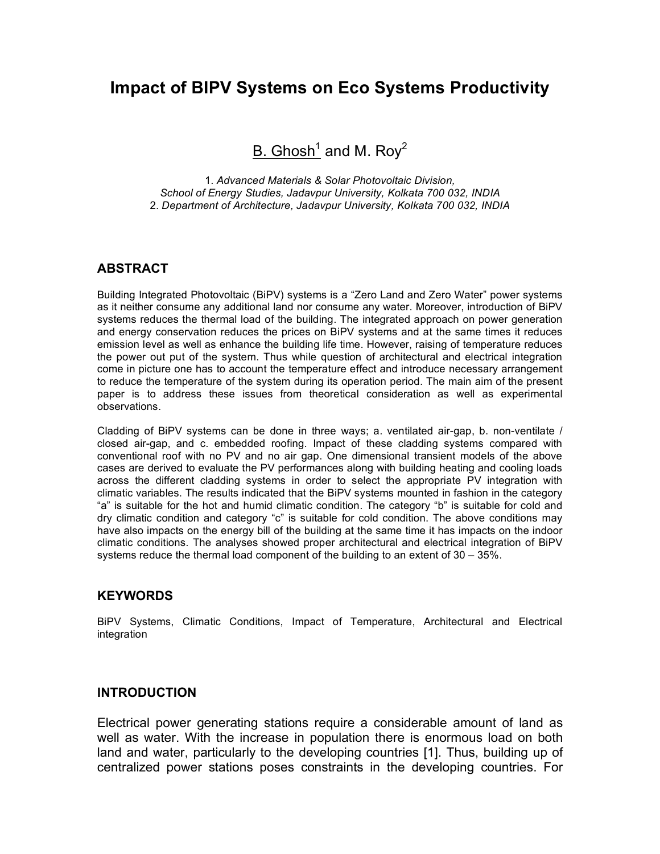# **Impact of BIPV Systems on Eco Systems Productivity**

B. Ghosh<sup>1</sup> and M. Roy<sup>2</sup>

1. *Advanced Materials & Solar Photovoltaic Division, School of Energy Studies, Jadavpur University, Kolkata 700 032, INDIA* 2. *Department of Architecture, Jadavpur University, Kolkata 700 032, INDIA*

# **ABSTRACT**

Building Integrated Photovoltaic (BiPV) systems is a "Zero Land and Zero Water" power systems as it neither consume any additional land nor consume any water. Moreover, introduction of BiPV systems reduces the thermal load of the building. The integrated approach on power generation and energy conservation reduces the prices on BiPV systems and at the same times it reduces emission level as well as enhance the building life time. However, raising of temperature reduces the power out put of the system. Thus while question of architectural and electrical integration come in picture one has to account the temperature effect and introduce necessary arrangement to reduce the temperature of the system during its operation period. The main aim of the present paper is to address these issues from theoretical consideration as well as experimental observations.

Cladding of BiPV systems can be done in three ways; a. ventilated air-gap, b. non-ventilate / closed air-gap, and c. embedded roofing. Impact of these cladding systems compared with conventional roof with no PV and no air gap. One dimensional transient models of the above cases are derived to evaluate the PV performances along with building heating and cooling loads across the different cladding systems in order to select the appropriate PV integration with climatic variables. The results indicated that the BiPV systems mounted in fashion in the category "a" is suitable for the hot and humid climatic condition. The category "b" is suitable for cold and dry climatic condition and category "c" is suitable for cold condition. The above conditions may have also impacts on the energy bill of the building at the same time it has impacts on the indoor climatic conditions. The analyses showed proper architectural and electrical integration of BiPV systems reduce the thermal load component of the building to an extent of 30 – 35%.

#### **KEYWORDS**

BiPV Systems, Climatic Conditions, Impact of Temperature, Architectural and Electrical integration

#### **INTRODUCTION**

Electrical power generating stations require a considerable amount of land as well as water. With the increase in population there is enormous load on both land and water, particularly to the developing countries [1]. Thus, building up of centralized power stations poses constraints in the developing countries. For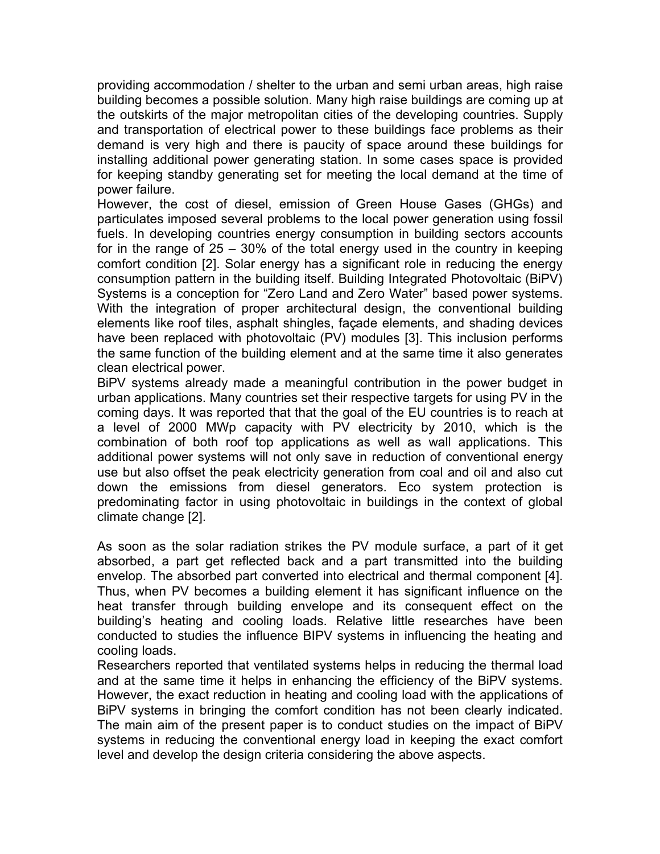providing accommodation / shelter to the urban and semi urban areas, high raise building becomes a possible solution. Many high raise buildings are coming up at the outskirts of the major metropolitan cities of the developing countries. Supply and transportation of electrical power to these buildings face problems as their demand is very high and there is paucity of space around these buildings for installing additional power generating station. In some cases space is provided for keeping standby generating set for meeting the local demand at the time of power failure.

However, the cost of diesel, emission of Green House Gases (GHGs) and particulates imposed several problems to the local power generation using fossil fuels. In developing countries energy consumption in building sectors accounts for in the range of 25 – 30% of the total energy used in the country in keeping comfort condition [2]. Solar energy has a significant role in reducing the energy consumption pattern in the building itself. Building Integrated Photovoltaic (BiPV) Systems is a conception for "Zero Land and Zero Water" based power systems. With the integration of proper architectural design, the conventional building elements like roof tiles, asphalt shingles, façade elements, and shading devices have been replaced with photovoltaic (PV) modules [3]. This inclusion performs the same function of the building element and at the same time it also generates clean electrical power.

BiPV systems already made a meaningful contribution in the power budget in urban applications. Many countries set their respective targets for using PV in the coming days. It was reported that that the goal of the EU countries is to reach at a level of 2000 MWp capacity with PV electricity by 2010, which is the combination of both roof top applications as well as wall applications. This additional power systems will not only save in reduction of conventional energy use but also offset the peak electricity generation from coal and oil and also cut down the emissions from diesel generators. Eco system protection is predominating factor in using photovoltaic in buildings in the context of global climate change [2].

As soon as the solar radiation strikes the PV module surface, a part of it get absorbed, a part get reflected back and a part transmitted into the building envelop. The absorbed part converted into electrical and thermal component [4]. Thus, when PV becomes a building element it has significant influence on the heat transfer through building envelope and its consequent effect on the building's heating and cooling loads. Relative little researches have been conducted to studies the influence BIPV systems in influencing the heating and cooling loads.

Researchers reported that ventilated systems helps in reducing the thermal load and at the same time it helps in enhancing the efficiency of the BiPV systems. However, the exact reduction in heating and cooling load with the applications of BiPV systems in bringing the comfort condition has not been clearly indicated. The main aim of the present paper is to conduct studies on the impact of BiPV systems in reducing the conventional energy load in keeping the exact comfort level and develop the design criteria considering the above aspects.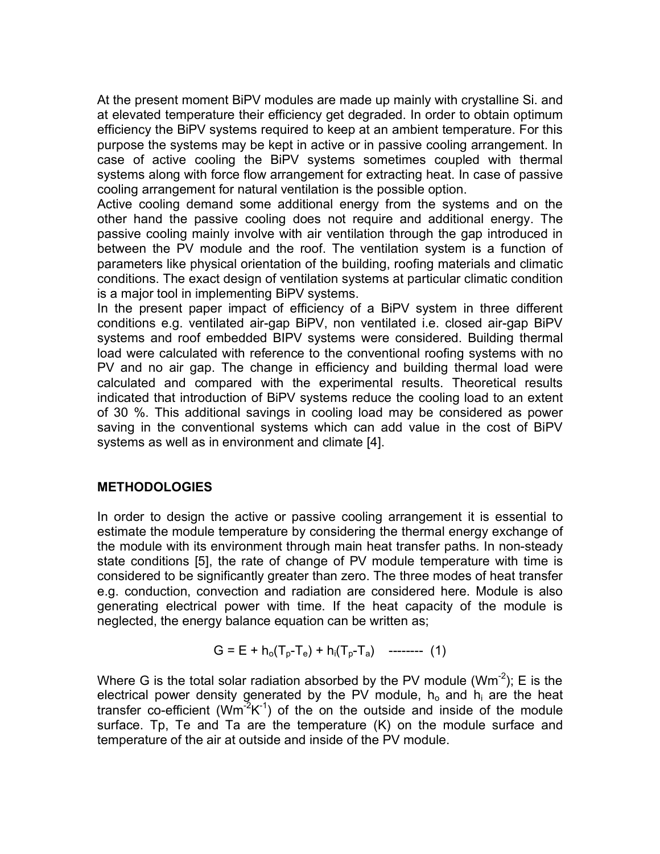At the present moment BiPV modules are made up mainly with crystalline Si. and at elevated temperature their efficiency get degraded. In order to obtain optimum efficiency the BiPV systems required to keep at an ambient temperature. For this purpose the systems may be kept in active or in passive cooling arrangement. In case of active cooling the BiPV systems sometimes coupled with thermal systems along with force flow arrangement for extracting heat. In case of passive cooling arrangement for natural ventilation is the possible option.

Active cooling demand some additional energy from the systems and on the other hand the passive cooling does not require and additional energy. The passive cooling mainly involve with air ventilation through the gap introduced in between the PV module and the roof. The ventilation system is a function of parameters like physical orientation of the building, roofing materials and climatic conditions. The exact design of ventilation systems at particular climatic condition is a major tool in implementing BiPV systems.

In the present paper impact of efficiency of a BiPV system in three different conditions e.g. ventilated air-gap BiPV, non ventilated i.e. closed air-gap BiPV systems and roof embedded BIPV systems were considered. Building thermal load were calculated with reference to the conventional roofing systems with no PV and no air gap. The change in efficiency and building thermal load were calculated and compared with the experimental results. Theoretical results indicated that introduction of BiPV systems reduce the cooling load to an extent of 30 %. This additional savings in cooling load may be considered as power saving in the conventional systems which can add value in the cost of BiPV systems as well as in environment and climate [4].

### **METHODOLOGIES**

In order to design the active or passive cooling arrangement it is essential to estimate the module temperature by considering the thermal energy exchange of the module with its environment through main heat transfer paths. In non-steady state conditions [5], the rate of change of PV module temperature with time is considered to be significantly greater than zero. The three modes of heat transfer e.g. conduction, convection and radiation are considered here. Module is also generating electrical power with time. If the heat capacity of the module is neglected, the energy balance equation can be written as;

$$
G = E + h_o(T_p - T_e) + h_i(T_p - T_a) \quad \text{---} \quad (1)
$$

Where G is the total solar radiation absorbed by the PV module (Wm<sup>-2</sup>); E is the electrical power density generated by the PV module,  $h_0$  and  $h_i$  are the heat transfer co-efficient ( $Wm^2K^{-1}$ ) of the on the outside and inside of the module surface. Tp, Te and Ta are the temperature (K) on the module surface and temperature of the air at outside and inside of the PV module.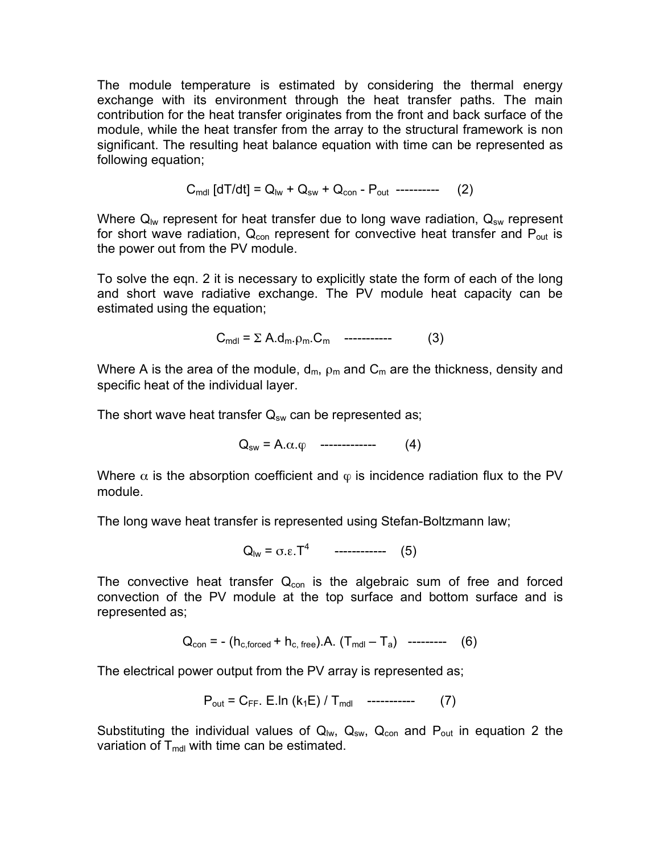The module temperature is estimated by considering the thermal energy exchange with its environment through the heat transfer paths. The main contribution for the heat transfer originates from the front and back surface of the module, while the heat transfer from the array to the structural framework is non significant. The resulting heat balance equation with time can be represented as following equation;

$$
C_{\text{mdl}} \left[ dT/dt \right] = Q_{\text{lw}} + Q_{\text{sw}} + Q_{\text{con}} - P_{\text{out}} \ \ \text{-----} \tag{2}
$$

Where  $Q_{lw}$  represent for heat transfer due to long wave radiation,  $Q_{sw}$  represent for short wave radiation,  $Q_{con}$  represent for convective heat transfer and  $P_{out}$  is the power out from the PV module.

To solve the eqn. 2 it is necessary to explicitly state the form of each of the long and short wave radiative exchange. The PV module heat capacity can be estimated using the equation;

 $C_{\text{mdl}} = \Sigma A.d_{\text{m}}.\rho_{\text{m}}.C_{\text{m}}$  ----------- (3)

Where A is the area of the module,  $d_m$ ,  $\rho_m$  and  $C_m$  are the thickness, density and specific heat of the individual layer.

The short wave heat transfer  $Q_{sw}$  can be represented as;

 $Q_{sw} = A \cdot \alpha \cdot \varphi$  ------------- (4)

Where  $\alpha$  is the absorption coefficient and  $\varphi$  is incidence radiation flux to the PV module.

The long wave heat transfer is represented using Stefan-Boltzmann law;

 $Q_{\text{lw}} = \sigma \cdot \epsilon \cdot T^4$  ------------ (5)

The convective heat transfer  $Q_{con}$  is the algebraic sum of free and forced convection of the PV module at the top surface and bottom surface and is represented as;

$$
Q_{con} = - (h_{c,forced} + h_{c, free}).A. (T_{mol} - T_a) \ \ \text{-----} \tag{6}
$$

The electrical power output from the PV array is represented as;

$$
P_{out} = C_{FF} \cdot E \cdot \ln (k_1 E) / T_{mol} \quad \text{---}
$$
 (7)

Substituting the individual values of  $Q_{\text{lw}}$ ,  $Q_{\text{sw}}$ ,  $Q_{\text{con}}$  and  $P_{\text{out}}$  in equation 2 the variation of  $T_{\text{mdl}}$  with time can be estimated.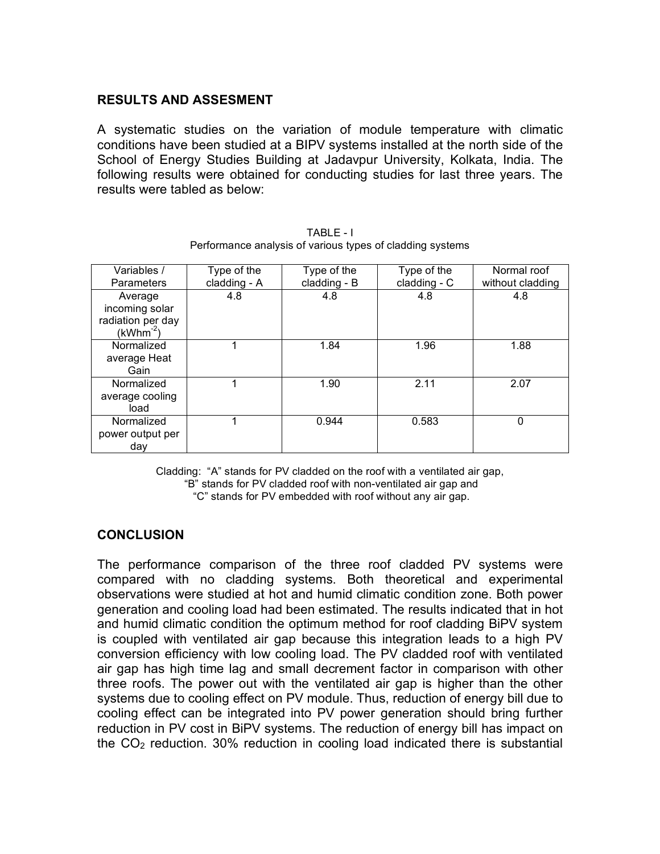## **RESULTS AND ASSESMENT**

A systematic studies on the variation of module temperature with climatic conditions have been studied at a BIPV systems installed at the north side of the School of Energy Studies Building at Jadavpur University, Kolkata, India. The following results were obtained for conducting studies for last three years. The results were tabled as below:

| Variables /<br>Parameters                                       | Type of the<br>cladding - A | Type of the<br>cladding - B | Type of the<br>cladding - C | Normal roof<br>without cladding |
|-----------------------------------------------------------------|-----------------------------|-----------------------------|-----------------------------|---------------------------------|
| Average<br>incoming solar<br>radiation per day<br>$(kWhm^{-2})$ | 4.8                         | 4.8                         | 4.8                         | 4.8                             |
| Normalized<br>average Heat<br>Gain                              | 1                           | 1.84                        | 1.96                        | 1.88                            |
| Normalized<br>average cooling<br>load                           | 1                           | 1.90                        | 2.11                        | 2.07                            |
| Normalized<br>power output per<br>day                           |                             | 0.944                       | 0.583                       | 0                               |

TABLE - I Performance analysis of various types of cladding systems

Cladding: "A" stands for PV cladded on the roof with a ventilated air gap, "B" stands for PV cladded roof with non-ventilated air gap and "C" stands for PV embedded with roof without any air gap.

### **CONCLUSION**

The performance comparison of the three roof cladded PV systems were compared with no cladding systems. Both theoretical and experimental observations were studied at hot and humid climatic condition zone. Both power generation and cooling load had been estimated. The results indicated that in hot and humid climatic condition the optimum method for roof cladding BiPV system is coupled with ventilated air gap because this integration leads to a high PV conversion efficiency with low cooling load. The PV cladded roof with ventilated air gap has high time lag and small decrement factor in comparison with other three roofs. The power out with the ventilated air gap is higher than the other systems due to cooling effect on PV module. Thus, reduction of energy bill due to cooling effect can be integrated into PV power generation should bring further reduction in PV cost in BiPV systems. The reduction of energy bill has impact on the  $CO<sub>2</sub>$  reduction. 30% reduction in cooling load indicated there is substantial